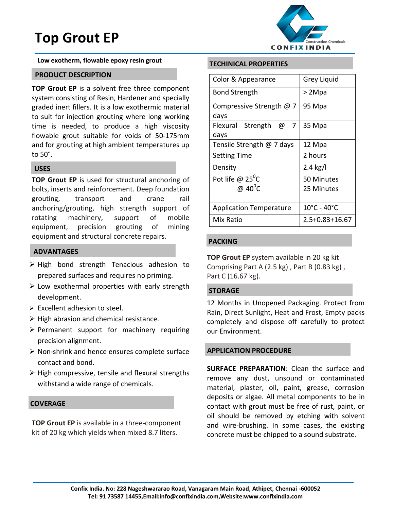# **Top Grout EP**



**Low exotherm, flowable epoxy resin grout** 

## **PRODUCT DESCRIPTION**

**TOP Grout EP** is a solvent free three component system consisting of Resin, Hardener and specially graded inert fillers. It is a low exothermic material to suit for injection grouting where long working time is needed, to produce a high viscosity flowable grout suitable for voids of 50-175mm and for grouting at high ambient temperatures up to 50°.

#### **USES**

**TOP Grout EP** is used for structural anchoring of bolts, inserts and reinforcement. Deep foundation grouting, transport and crane rail anchoring/grouting, high strength support of rotating machinery, support of mobile equipment, precision grouting of mining equipment and structural concrete repairs.

## **ADVANTAGES**

- > High bond strength Tenacious adhesion to prepared surfaces and requires no priming.
- $\triangleright$  Low exothermal properties with early strength development.
- $\triangleright$  Excellent adhesion to steel.
- $\triangleright$  High abrasion and chemical resistance.
- $\triangleright$  Permanent support for machinery requiring precision alignment.
- $\triangleright$  Non-shrink and hence ensures complete surface contact and bond.
- $\triangleright$  High compressive, tensile and flexural strengths withstand a wide range of chemicals.

## **COVERAGE**

**TOP Grout EP** is available in a three-component kit of 20 kg which yields when mixed 8.7 liters.

## **TECHINICAL PROPERTIES**

| Color & Appearance                       | Grey Liquid                      |
|------------------------------------------|----------------------------------|
| <b>Bond Strength</b>                     | > 2Mpa                           |
| Compressive Strength @ 7                 | 95 Mpa                           |
| days                                     |                                  |
| Flexural Strength<br>@<br>$\overline{7}$ | 35 Mpa                           |
| days                                     |                                  |
| Tensile Strength @ 7 days                | 12 Mpa                           |
| <b>Setting Time</b>                      | 2 hours                          |
| Density                                  | 2.4 $kg/l$                       |
| Pot life @ 25 $\mathrm{^0C}$             | 50 Minutes                       |
| @ $40^0C$                                | 25 Minutes                       |
|                                          |                                  |
| <b>Application Temperature</b>           | $10^{\circ}$ C - 40 $^{\circ}$ C |
| Mix Ratio                                | 2.5+0.83+16.67                   |

## **PACKING**

**TOP Grout EP** system available in 20 kg kit Comprising Part A  $(2.5 \text{ kg})$ , Part B  $(0.83 \text{ kg})$ , Part C (16.67 kg).

#### **STORAGE**

12 Months in Unopened Packaging. Protect from Rain, Direct Sunlight, Heat and Frost, Empty packs completely and dispose off carefully to protect our Environment.

## **APPLICATION PROCEDURE**

**SURFACE PREPARATION**: Clean the surface and remove any dust, unsound or contaminated material, plaster, oil, paint, grease, corrosion deposits or algae. All metal components to be in contact with grout must be free of rust, paint, or oil should be removed by etching with solvent and wire-brushing. In some cases, the existing concrete must be chipped to a sound substrate.